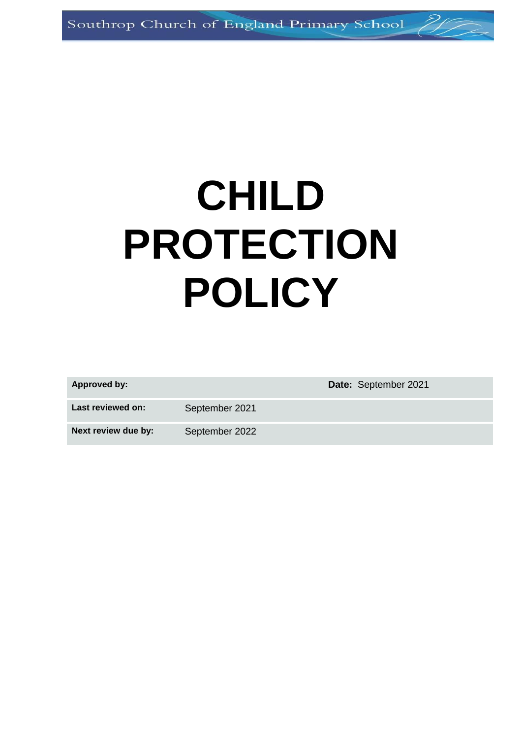# **CHILD PROTECTION POLICY**

| Approved by:        |                | <b>Date: September 2021</b> |
|---------------------|----------------|-----------------------------|
| Last reviewed on:   | September 2021 |                             |
| Next review due by: | September 2022 |                             |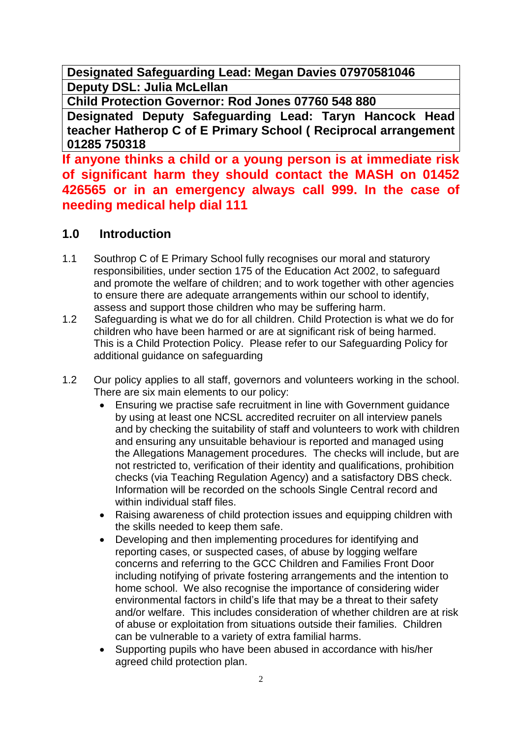**Designated Safeguarding Lead: Megan Davies 07970581046 Deputy DSL: Julia McLellan** 

**Child Protection Governor: Rod Jones 07760 548 880**

**Designated Deputy Safeguarding Lead: Taryn Hancock Head teacher Hatherop C of E Primary School ( Reciprocal arrangement 01285 750318**

**If anyone thinks a child or a young person is at immediate risk of significant harm they should contact the MASH on 01452 426565 or in an emergency always call 999. In the case of needing medical help dial 111**

# **1.0 Introduction**

- 1.1 Southrop C of E Primary School fully recognises our moral and staturory responsibilities, under section 175 of the Education Act 2002, to safeguard and promote the welfare of children; and to work together with other agencies to ensure there are adequate arrangements within our school to identify, assess and support those children who may be suffering harm.
- 1.2 Safeguarding is what we do for all children. Child Protection is what we do for children who have been harmed or are at significant risk of being harmed. This is a Child Protection Policy. Please refer to our Safeguarding Policy for additional guidance on safeguarding
- 1.2 Our policy applies to all staff, governors and volunteers working in the school. There are six main elements to our policy:
	- Ensuring we practise safe recruitment in line with Government guidance by using at least one NCSL accredited recruiter on all interview panels and by checking the suitability of staff and volunteers to work with children and ensuring any unsuitable behaviour is reported and managed using the Allegations Management procedures. The checks will include, but are not restricted to, verification of their identity and qualifications, prohibition checks (via Teaching Regulation Agency) and a satisfactory DBS check. Information will be recorded on the schools Single Central record and within individual staff files.
	- Raising awareness of child protection issues and equipping children with the skills needed to keep them safe.
	- Developing and then implementing procedures for identifying and reporting cases, or suspected cases, of abuse by logging welfare concerns and referring to the GCC Children and Families Front Door including notifying of private fostering arrangements and the intention to home school. We also recognise the importance of considering wider environmental factors in child's life that may be a threat to their safety and/or welfare. This includes consideration of whether children are at risk of abuse or exploitation from situations outside their families. Children can be vulnerable to a variety of extra familial harms.
	- Supporting pupils who have been abused in accordance with his/her agreed child protection plan.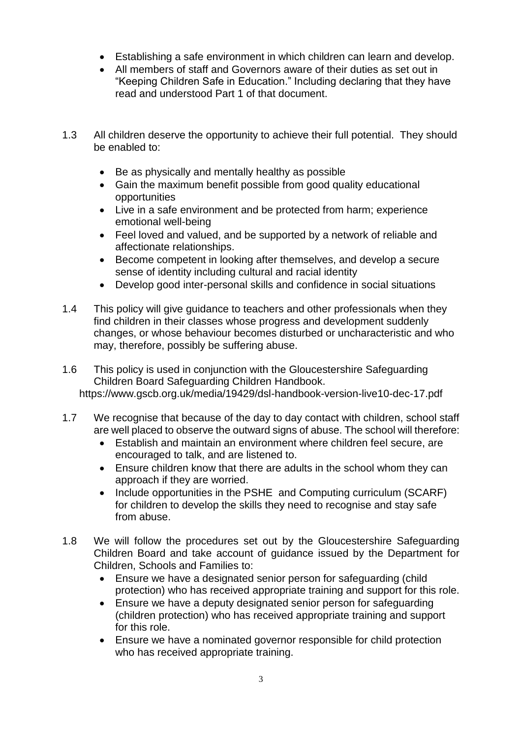- Establishing a safe environment in which children can learn and develop.
- All members of staff and Governors aware of their duties as set out in "Keeping Children Safe in Education." Including declaring that they have read and understood Part 1 of that document.
- 1.3 All children deserve the opportunity to achieve their full potential. They should be enabled to:
	- Be as physically and mentally healthy as possible
	- Gain the maximum benefit possible from good quality educational opportunities
	- Live in a safe environment and be protected from harm; experience emotional well-being
	- Feel loved and valued, and be supported by a network of reliable and affectionate relationships.
	- Become competent in looking after themselves, and develop a secure sense of identity including cultural and racial identity
	- Develop good inter-personal skills and confidence in social situations
- 1.4 This policy will give guidance to teachers and other professionals when they find children in their classes whose progress and development suddenly changes, or whose behaviour becomes disturbed or uncharacteristic and who may, therefore, possibly be suffering abuse.
- 1.6 This policy is used in conjunction with the Gloucestershire Safeguarding Children Board Safeguarding Children Handbook. https://www.gscb.org.uk/media/19429/dsl-handbook-version-live10-dec-17.pdf
- 1.7 We recognise that because of the day to day contact with children, school staff are well placed to observe the outward signs of abuse. The school will therefore:
	- Establish and maintain an environment where children feel secure, are encouraged to talk, and are listened to.
	- Ensure children know that there are adults in the school whom they can approach if they are worried.
	- Include opportunities in the PSHE and Computing curriculum (SCARF) for children to develop the skills they need to recognise and stay safe from abuse.
- 1.8 We will follow the procedures set out by the Gloucestershire Safeguarding Children Board and take account of guidance issued by the Department for Children, Schools and Families to:
	- Ensure we have a designated senior person for safeguarding (child protection) who has received appropriate training and support for this role.
	- Ensure we have a deputy designated senior person for safeguarding (children protection) who has received appropriate training and support for this role.
	- Ensure we have a nominated governor responsible for child protection who has received appropriate training.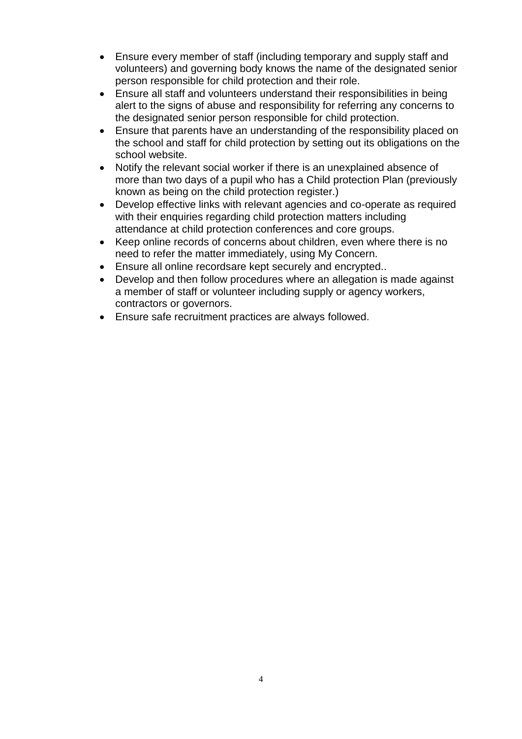- Ensure every member of staff (including temporary and supply staff and volunteers) and governing body knows the name of the designated senior person responsible for child protection and their role.
- Ensure all staff and volunteers understand their responsibilities in being alert to the signs of abuse and responsibility for referring any concerns to the designated senior person responsible for child protection.
- Ensure that parents have an understanding of the responsibility placed on the school and staff for child protection by setting out its obligations on the school website.
- Notify the relevant social worker if there is an unexplained absence of more than two days of a pupil who has a Child protection Plan (previously known as being on the child protection register.)
- Develop effective links with relevant agencies and co-operate as required with their enquiries regarding child protection matters including attendance at child protection conferences and core groups.
- Keep online records of concerns about children, even where there is no need to refer the matter immediately, using My Concern.
- Ensure all online recordsare kept securely and encrypted..
- Develop and then follow procedures where an allegation is made against a member of staff or volunteer including supply or agency workers, contractors or governors.
- Ensure safe recruitment practices are always followed.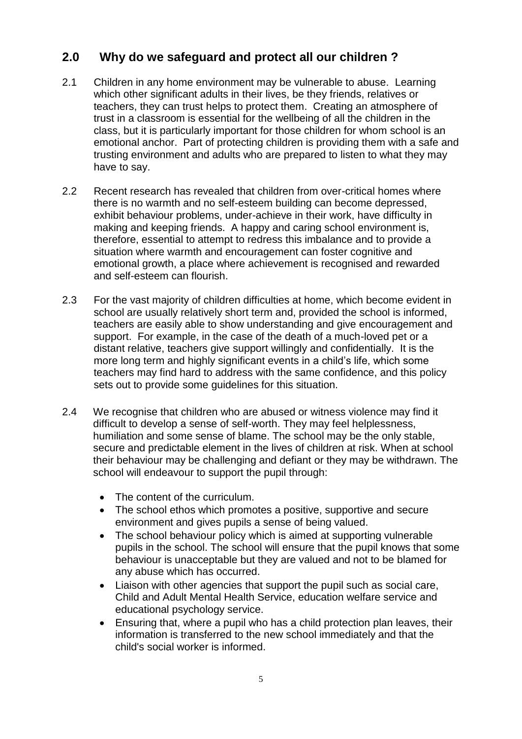# **2.0 Why do we safeguard and protect all our children ?**

- 2.1 Children in any home environment may be vulnerable to abuse. Learning which other significant adults in their lives, be they friends, relatives or teachers, they can trust helps to protect them. Creating an atmosphere of trust in a classroom is essential for the wellbeing of all the children in the class, but it is particularly important for those children for whom school is an emotional anchor. Part of protecting children is providing them with a safe and trusting environment and adults who are prepared to listen to what they may have to say.
- 2.2 Recent research has revealed that children from over-critical homes where there is no warmth and no self-esteem building can become depressed, exhibit behaviour problems, under-achieve in their work, have difficulty in making and keeping friends. A happy and caring school environment is, therefore, essential to attempt to redress this imbalance and to provide a situation where warmth and encouragement can foster cognitive and emotional growth, a place where achievement is recognised and rewarded and self-esteem can flourish.
- 2.3 For the vast majority of children difficulties at home, which become evident in school are usually relatively short term and, provided the school is informed, teachers are easily able to show understanding and give encouragement and support. For example, in the case of the death of a much-loved pet or a distant relative, teachers give support willingly and confidentially. It is the more long term and highly significant events in a child's life, which some teachers may find hard to address with the same confidence, and this policy sets out to provide some guidelines for this situation.
- 2.4 We recognise that children who are abused or witness violence may find it difficult to develop a sense of self-worth. They may feel helplessness, humiliation and some sense of blame. The school may be the only stable, secure and predictable element in the lives of children at risk. When at school their behaviour may be challenging and defiant or they may be withdrawn. The school will endeavour to support the pupil through:
	- The content of the curriculum.
	- The school ethos which promotes a positive, supportive and secure environment and gives pupils a sense of being valued.
	- The school behaviour policy which is aimed at supporting vulnerable pupils in the school. The school will ensure that the pupil knows that some behaviour is unacceptable but they are valued and not to be blamed for any abuse which has occurred.
	- Liaison with other agencies that support the pupil such as social care, Child and Adult Mental Health Service, education welfare service and educational psychology service.
	- Ensuring that, where a pupil who has a child protection plan leaves, their information is transferred to the new school immediately and that the child's social worker is informed.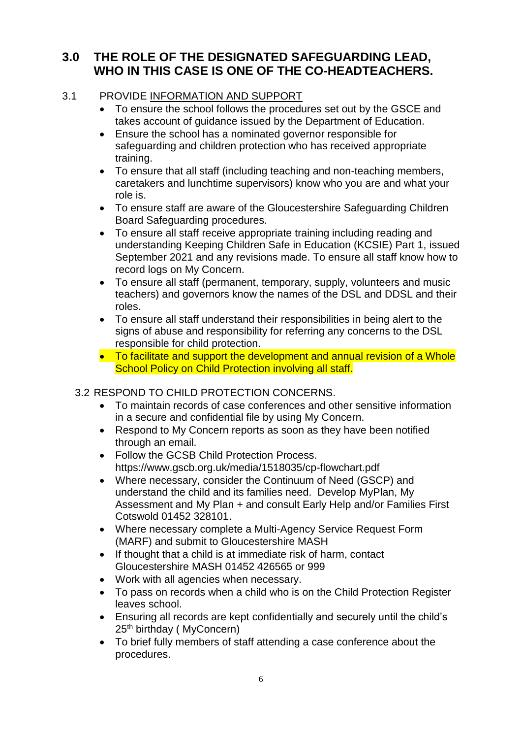# **3.0 THE ROLE OF THE DESIGNATED SAFEGUARDING LEAD, WHO IN THIS CASE IS ONE OF THE CO-HEADTEACHERS.**

#### 3.1 PROVIDE INFORMATION AND SUPPORT

- To ensure the school follows the procedures set out by the GSCE and takes account of guidance issued by the Department of Education.
- Ensure the school has a nominated governor responsible for safeguarding and children protection who has received appropriate training.
- To ensure that all staff (including teaching and non-teaching members, caretakers and lunchtime supervisors) know who you are and what your role is.
- To ensure staff are aware of the Gloucestershire Safeguarding Children Board Safeguarding procedures.
- To ensure all staff receive appropriate training including reading and understanding Keeping Children Safe in Education (KCSIE) Part 1, issued September 2021 and any revisions made. To ensure all staff know how to record logs on My Concern.
- To ensure all staff (permanent, temporary, supply, volunteers and music teachers) and governors know the names of the DSL and DDSL and their roles.
- To ensure all staff understand their responsibilities in being alert to the signs of abuse and responsibility for referring any concerns to the DSL responsible for child protection.
- To facilitate and support the development and annual revision of a Whole School Policy on Child Protection involving all staff.

#### 3.2 RESPOND TO CHILD PROTECTION CONCERNS.

- To maintain records of case conferences and other sensitive information in a secure and confidential file by using My Concern.
- Respond to My Concern reports as soon as they have been notified through an email.
- Follow the GCSB Child Protection Process. https://www.gscb.org.uk/media/1518035/cp-flowchart.pdf
- Where necessary, consider the Continuum of Need (GSCP) and understand the child and its families need. Develop MyPlan, My Assessment and My Plan + and consult Early Help and/or Families First Cotswold 01452 328101.
- Where necessary complete a Multi-Agency Service Request Form (MARF) and submit to Gloucestershire MASH
- If thought that a child is at immediate risk of harm, contact Gloucestershire MASH 01452 426565 or 999
- Work with all agencies when necessary.
- To pass on records when a child who is on the Child Protection Register leaves school.
- Ensuring all records are kept confidentially and securely until the child's 25th birthday ( MyConcern)
- To brief fully members of staff attending a case conference about the procedures.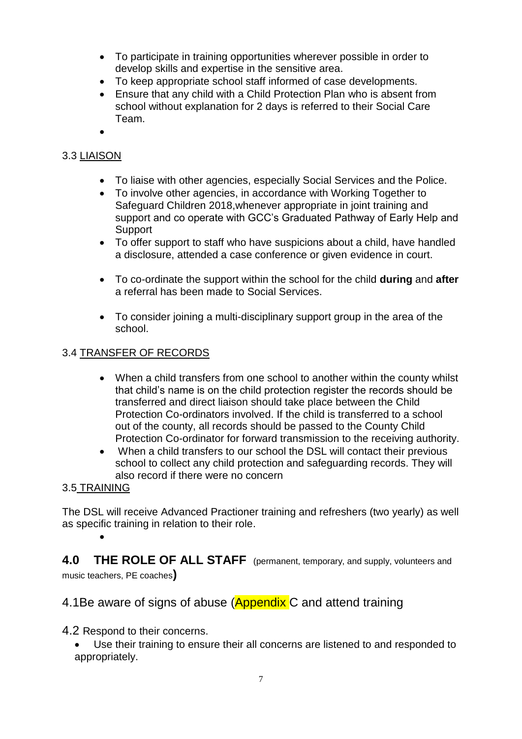- To participate in training opportunities wherever possible in order to develop skills and expertise in the sensitive area.
- To keep appropriate school staff informed of case developments.
- Ensure that any child with a Child Protection Plan who is absent from school without explanation for 2 days is referred to their Social Care Team.
- $\bullet$

#### 3.3 LIAISON

- To liaise with other agencies, especially Social Services and the Police.
- To involve other agencies, in accordance with Working Together to Safeguard Children 2018,whenever appropriate in joint training and support and co operate with GCC's Graduated Pathway of Early Help and Support
- To offer support to staff who have suspicions about a child, have handled a disclosure, attended a case conference or given evidence in court.
- To co-ordinate the support within the school for the child **during** and **after** a referral has been made to Social Services.
- To consider joining a multi-disciplinary support group in the area of the school.

#### 3.4 TRANSFER OF RECORDS

- When a child transfers from one school to another within the county whilst that child's name is on the child protection register the records should be transferred and direct liaison should take place between the Child Protection Co-ordinators involved. If the child is transferred to a school out of the county, all records should be passed to the County Child Protection Co-ordinator for forward transmission to the receiving authority.
- When a child transfers to our school the DSL will contact their previous school to collect any child protection and safeguarding records. They will also record if there were no concern

#### 3.5 TRAINING

 $\bullet$ 

The DSL will receive Advanced Practioner training and refreshers (two yearly) as well as specific training in relation to their role.

**4.0 THE ROLE OF ALL STAFF** (permanent, temporary, and supply, volunteers and music teachers, PE coaches**)**

#### 4.1Be aware of signs of abuse (Appendix C and attend training

- 4.2 Respond to their concerns.
	- Use their training to ensure their all concerns are listened to and responded to appropriately.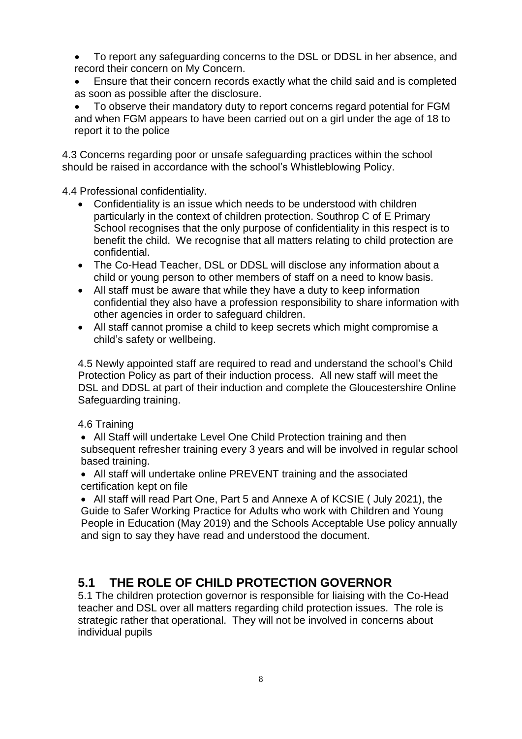To report any safeguarding concerns to the DSL or DDSL in her absence, and record their concern on My Concern.

 Ensure that their concern records exactly what the child said and is completed as soon as possible after the disclosure.

 To observe their mandatory duty to report concerns regard potential for FGM and when FGM appears to have been carried out on a girl under the age of 18 to report it to the police

4.3 Concerns regarding poor or unsafe safeguarding practices within the school should be raised in accordance with the school's Whistleblowing Policy.

4.4 Professional confidentiality.

- Confidentiality is an issue which needs to be understood with children particularly in the context of children protection. Southrop C of E Primary School recognises that the only purpose of confidentiality in this respect is to benefit the child. We recognise that all matters relating to child protection are confidential.
- The Co-Head Teacher, DSL or DDSL will disclose any information about a child or young person to other members of staff on a need to know basis.
- All staff must be aware that while they have a duty to keep information confidential they also have a profession responsibility to share information with other agencies in order to safeguard children.
- All staff cannot promise a child to keep secrets which might compromise a child's safety or wellbeing.

4.5 Newly appointed staff are required to read and understand the school's Child Protection Policy as part of their induction process. All new staff will meet the DSL and DDSL at part of their induction and complete the Gloucestershire Online Safeguarding training.

#### 4.6 Training

- All Staff will undertake Level One Child Protection training and then subsequent refresher training every 3 years and will be involved in regular school based training.
- All staff will undertake online PREVENT training and the associated certification kept on file

 All staff will read Part One, Part 5 and Annexe A of KCSIE ( July 2021), the Guide to Safer Working Practice for Adults who work with Children and Young People in Education (May 2019) and the Schools Acceptable Use policy annually and sign to say they have read and understood the document.

# **5.1 THE ROLE OF CHILD PROTECTION GOVERNOR**

5.1 The children protection governor is responsible for liaising with the Co-Head teacher and DSL over all matters regarding child protection issues. The role is strategic rather that operational. They will not be involved in concerns about individual pupils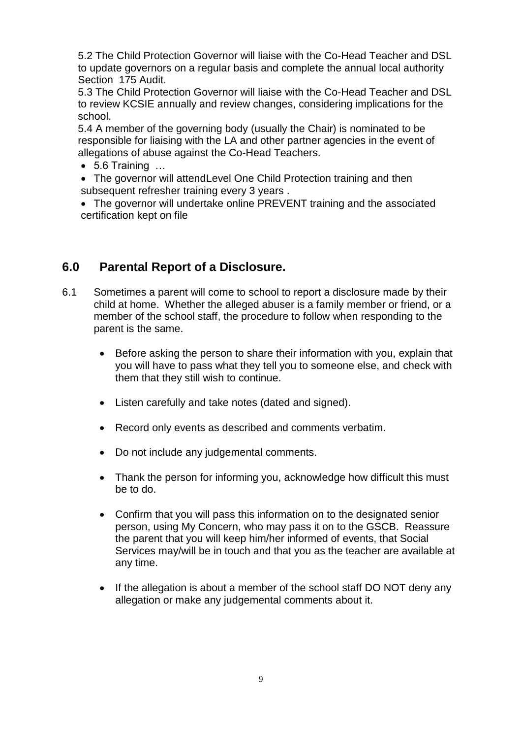5.2 The Child Protection Governor will liaise with the Co-Head Teacher and DSL to update governors on a regular basis and complete the annual local authority Section 175 Audit.

5.3 The Child Protection Governor will liaise with the Co-Head Teacher and DSL to review KCSIE annually and review changes, considering implications for the school.

5.4 A member of the governing body (usually the Chair) is nominated to be responsible for liaising with the LA and other partner agencies in the event of allegations of abuse against the Co-Head Teachers.

 $\bullet$  5.6 Training  $\dots$ 

• The governor will attend Level One Child Protection training and then subsequent refresher training every 3 years .

 The governor will undertake online PREVENT training and the associated certification kept on file

# **6.0 Parental Report of a Disclosure.**

- 6.1 Sometimes a parent will come to school to report a disclosure made by their child at home. Whether the alleged abuser is a family member or friend, or a member of the school staff, the procedure to follow when responding to the parent is the same.
	- Before asking the person to share their information with you, explain that you will have to pass what they tell you to someone else, and check with them that they still wish to continue.
	- Listen carefully and take notes (dated and signed).
	- Record only events as described and comments verbatim.
	- Do not include any judgemental comments.
	- Thank the person for informing you, acknowledge how difficult this must be to do.
	- Confirm that you will pass this information on to the designated senior person, using My Concern, who may pass it on to the GSCB. Reassure the parent that you will keep him/her informed of events, that Social Services may/will be in touch and that you as the teacher are available at any time.
	- If the allegation is about a member of the school staff DO NOT deny any allegation or make any judgemental comments about it.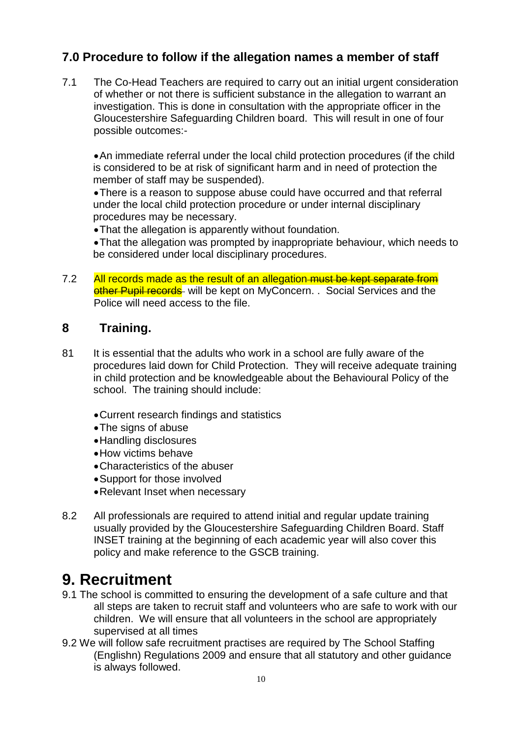# **7.0 Procedure to follow if the allegation names a member of staff**

7.1 The Co-Head Teachers are required to carry out an initial urgent consideration of whether or not there is sufficient substance in the allegation to warrant an investigation. This is done in consultation with the appropriate officer in the Gloucestershire Safeguarding Children board. This will result in one of four possible outcomes:-

An immediate referral under the local child protection procedures (if the child is considered to be at risk of significant harm and in need of protection the member of staff may be suspended).

There is a reason to suppose abuse could have occurred and that referral under the local child protection procedure or under internal disciplinary procedures may be necessary.

That the allegation is apparently without foundation.

That the allegation was prompted by inappropriate behaviour, which needs to be considered under local disciplinary procedures.

7.2 All records made as the result of an allegation must be kept separate from other Pupil records will be kept on MyConcern. . Social Services and the Police will need access to the file.

### **8 Training.**

- 81 It is essential that the adults who work in a school are fully aware of the procedures laid down for Child Protection. They will receive adequate training in child protection and be knowledgeable about the Behavioural Policy of the school. The training should include:
	- Current research findings and statistics
	- The signs of abuse
	- Handling disclosures
	- How victims behave
	- Characteristics of the abuser
	- Support for those involved
	- Relevant Inset when necessary
- 8.2 All professionals are required to attend initial and regular update training usually provided by the Gloucestershire Safeguarding Children Board. Staff INSET training at the beginning of each academic year will also cover this policy and make reference to the GSCB training.

# **9. Recruitment**

- 9.1 The school is committed to ensuring the development of a safe culture and that all steps are taken to recruit staff and volunteers who are safe to work with our children. We will ensure that all volunteers in the school are appropriately supervised at all times
- 9.2 We will follow safe recruitment practises are required by The School Staffing (Englishn) Regulations 2009 and ensure that all statutory and other guidance is always followed.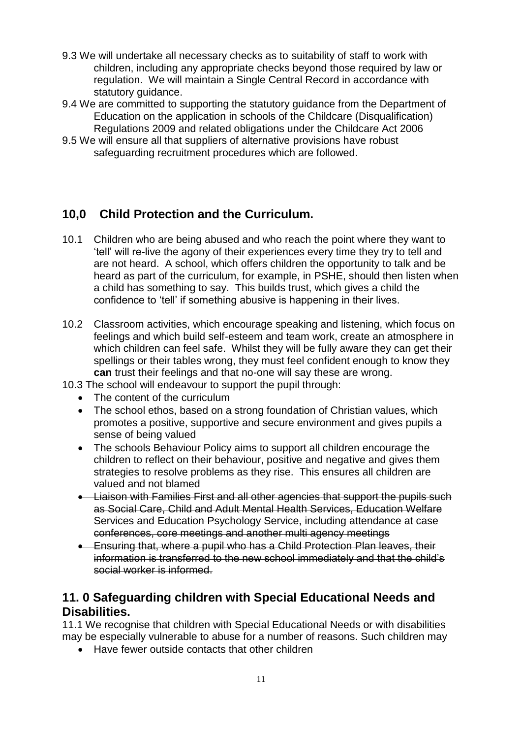- 9.3 We will undertake all necessary checks as to suitability of staff to work with children, including any appropriate checks beyond those required by law or regulation. We will maintain a Single Central Record in accordance with statutory quidance.
- 9.4 We are committed to supporting the statutory guidance from the Department of Education on the application in schools of the Childcare (Disqualification) Regulations 2009 and related obligations under the Childcare Act 2006
- 9.5 We will ensure all that suppliers of alternative provisions have robust safeguarding recruitment procedures which are followed.

# **10,0 Child Protection and the Curriculum.**

- 10.1 Children who are being abused and who reach the point where they want to 'tell' will re-live the agony of their experiences every time they try to tell and are not heard. A school, which offers children the opportunity to talk and be heard as part of the curriculum, for example, in PSHE, should then listen when a child has something to say. This builds trust, which gives a child the confidence to 'tell' if something abusive is happening in their lives.
- 10.2 Classroom activities, which encourage speaking and listening, which focus on feelings and which build self-esteem and team work, create an atmosphere in which children can feel safe. Whilst they will be fully aware they can get their spellings or their tables wrong, they must feel confident enough to know they **can** trust their feelings and that no-one will say these are wrong.
- 10.3 The school will endeavour to support the pupil through:
	- The content of the curriculum
	- The school ethos, based on a strong foundation of Christian values, which promotes a positive, supportive and secure environment and gives pupils a sense of being valued
	- The schools Behaviour Policy aims to support all children encourage the children to reflect on their behaviour, positive and negative and gives them strategies to resolve problems as they rise. This ensures all children are valued and not blamed
	- Liaison with Families First and all other agencies that support the pupils such as Social Care, Child and Adult Mental Health Services, Education Welfare Services and Education Psychology Service, including attendance at case conferences, core meetings and another multi agency meetings
	- **Ensuring that, where a pupil who has a Child Protection Plan leaves, their example 2** information is transferred to the new school immediately and that the child's social worker is informed.

# **11. 0 Safeguarding children with Special Educational Needs and Disabilities.**

11.1 We recognise that children with Special Educational Needs or with disabilities may be especially vulnerable to abuse for a number of reasons. Such children may

• Have fewer outside contacts that other children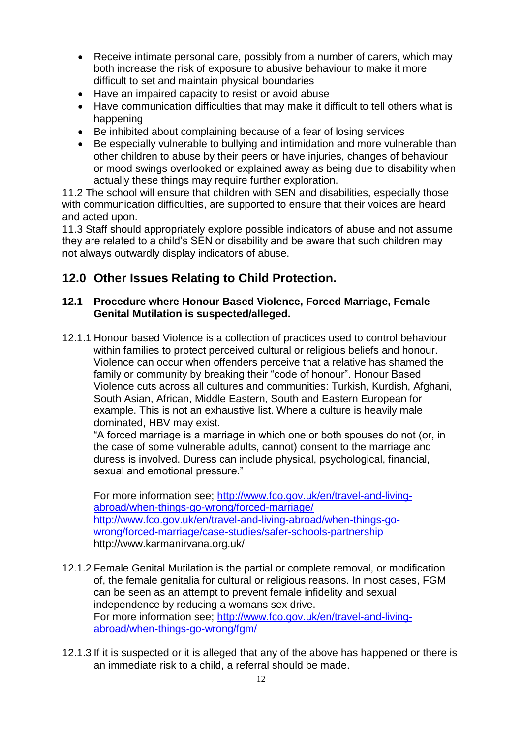- Receive intimate personal care, possibly from a number of carers, which may both increase the risk of exposure to abusive behaviour to make it more difficult to set and maintain physical boundaries
- Have an impaired capacity to resist or avoid abuse
- Have communication difficulties that may make it difficult to tell others what is happening
- Be inhibited about complaining because of a fear of losing services
- Be especially vulnerable to bullying and intimidation and more vulnerable than other children to abuse by their peers or have injuries, changes of behaviour or mood swings overlooked or explained away as being due to disability when actually these things may require further exploration.

11.2 The school will ensure that children with SEN and disabilities, especially those with communication difficulties, are supported to ensure that their voices are heard and acted upon.

11.3 Staff should appropriately explore possible indicators of abuse and not assume they are related to a child's SEN or disability and be aware that such children may not always outwardly display indicators of abuse.

# **12.0 Other Issues Relating to Child Protection.**

#### **12.1 Procedure where Honour Based Violence, Forced Marriage, Female Genital Mutilation is suspected/alleged.**

12.1.1 Honour based Violence is a collection of practices used to control behaviour within families to protect perceived cultural or religious beliefs and honour. Violence can occur when offenders perceive that a relative has shamed the family or community by breaking their "code of honour". Honour Based Violence cuts across all cultures and communities: Turkish, Kurdish, Afghani, South Asian, African, Middle Eastern, South and Eastern European for example. This is not an exhaustive list. Where a culture is heavily male dominated, HBV may exist.

"A forced marriage is a marriage in which one or both spouses do not (or, in the case of some vulnerable adults, cannot) consent to the marriage and duress is involved. Duress can include physical, psychological, financial, sexual and emotional pressure."

For more information see; [http://www.fco.gov.uk/en/travel-and-living](http://www.fco.gov.uk/en/travel-and-living-abroad/when-things-go-wrong/forced-marriage/)[abroad/when-things-go-wrong/forced-marriage/](http://www.fco.gov.uk/en/travel-and-living-abroad/when-things-go-wrong/forced-marriage/) [http://www.fco.gov.uk/en/travel-and-living-abroad/when-things-go](http://www.fco.gov.uk/en/travel-and-living-abroad/when-things-go-wrong/forced-marriage/case-studies/safer-schools-partnership)[wrong/forced-marriage/case-studies/safer-schools-partnership](http://www.fco.gov.uk/en/travel-and-living-abroad/when-things-go-wrong/forced-marriage/case-studies/safer-schools-partnership) <http://www.karmanirvana.org.uk/>

- 12.1.2 Female Genital Mutilation is the partial or complete removal, or modification of, the female genitalia for cultural or religious reasons. In most cases, FGM can be seen as an attempt to prevent female infidelity and sexual independence by reducing a womans sex drive. For more information see; [http://www.fco.gov.uk/en/travel-and-living](http://www.fco.gov.uk/en/travel-and-living-abroad/when-things-go-wrong/fgm/)[abroad/when-things-go-wrong/fgm/](http://www.fco.gov.uk/en/travel-and-living-abroad/when-things-go-wrong/fgm/)
- 12.1.3 If it is suspected or it is alleged that any of the above has happened or there is an immediate risk to a child, a referral should be made.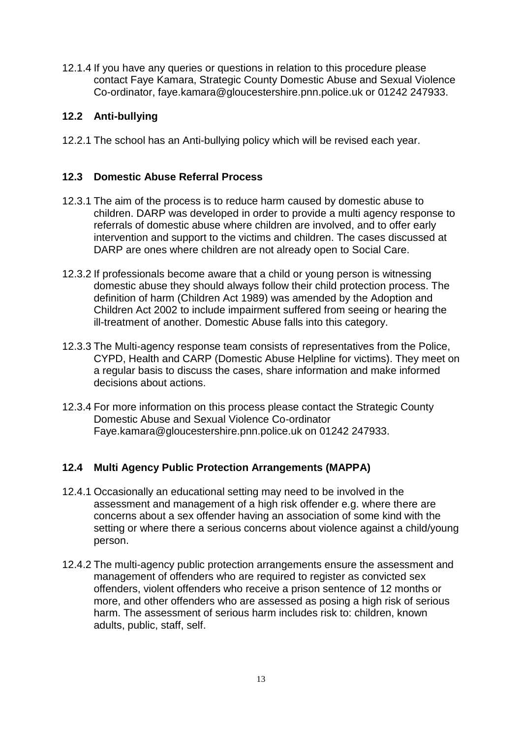12.1.4 If you have any queries or questions in relation to this procedure please contact Faye Kamara, Strategic County Domestic Abuse and Sexual Violence Co-ordinator, faye.kamara@gloucestershire.pnn.police.uk or 01242 247933.

#### **12.2 Anti-bullying**

12.2.1 The school has an Anti-bullying policy which will be revised each year.

#### **12.3 Domestic Abuse Referral Process**

- 12.3.1 The aim of the process is to reduce harm caused by domestic abuse to children. DARP was developed in order to provide a multi agency response to referrals of domestic abuse where children are involved, and to offer early intervention and support to the victims and children. The cases discussed at DARP are ones where children are not already open to Social Care.
- 12.3.2 If professionals become aware that a child or young person is witnessing domestic abuse they should always follow their child protection process. The definition of harm (Children Act 1989) was amended by the Adoption and Children Act 2002 to include impairment suffered from seeing or hearing the ill-treatment of another. Domestic Abuse falls into this category.
- 12.3.3 The Multi-agency response team consists of representatives from the Police, CYPD, Health and CARP (Domestic Abuse Helpline for victims). They meet on a regular basis to discuss the cases, share information and make informed decisions about actions.
- 12.3.4 For more information on this process please contact the Strategic County Domestic Abuse and Sexual Violence Co-ordinator Faye.kamara@gloucestershire.pnn.police.uk on 01242 247933.

#### **12.4 Multi Agency Public Protection Arrangements (MAPPA)**

- 12.4.1 Occasionally an educational setting may need to be involved in the assessment and management of a high risk offender e.g. where there are concerns about a sex offender having an association of some kind with the setting or where there a serious concerns about violence against a child/young person.
- 12.4.2 The multi-agency public protection arrangements ensure the assessment and management of offenders who are required to register as convicted sex offenders, violent offenders who receive a prison sentence of 12 months or more, and other offenders who are assessed as posing a high risk of serious harm. The assessment of serious harm includes risk to: children, known adults, public, staff, self.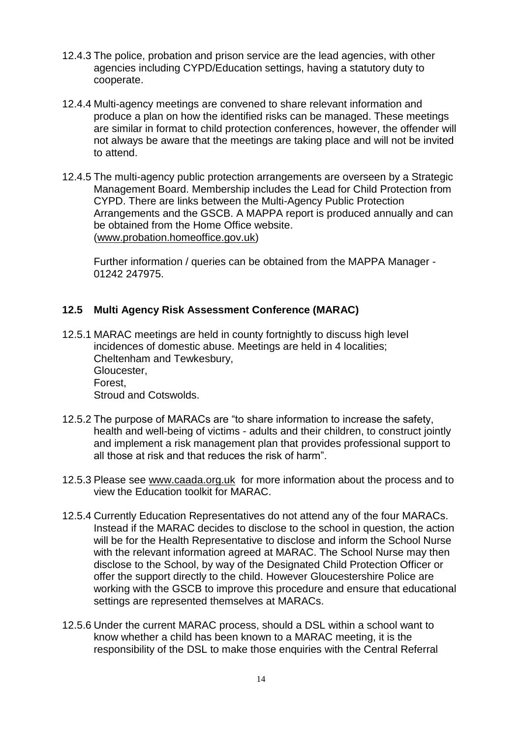- 12.4.3 The police, probation and prison service are the lead agencies, with other agencies including CYPD/Education settings, having a statutory duty to cooperate.
- 12.4.4 Multi-agency meetings are convened to share relevant information and produce a plan on how the identified risks can be managed. These meetings are similar in format to child protection conferences, however, the offender will not always be aware that the meetings are taking place and will not be invited to attend.
- 12.4.5 The multi-agency public protection arrangements are overseen by a Strategic Management Board. Membership includes the Lead for Child Protection from CYPD. There are links between the Multi-Agency Public Protection Arrangements and the GSCB. A MAPPA report is produced annually and can be obtained from the Home Office website. [\(www.probation.homeoffice.gov.uk\)](http://www.probation.homeoffice.gov.uk/)

Further information / queries can be obtained from the MAPPA Manager - 01242 247975.

#### **12.5 Multi Agency Risk Assessment Conference (MARAC)**

- 12.5.1 MARAC meetings are held in county fortnightly to discuss high level incidences of domestic abuse. Meetings are held in 4 localities; Cheltenham and Tewkesbury, Gloucester, Forest, Stroud and Cotswolds.
- 12.5.2 The purpose of MARACs are "to share information to increase the safety, health and well-being of victims - adults and their children, to construct jointly and implement a risk management plan that provides professional support to all those at risk and that reduces the risk of harm".
- 12.5.3 Please see [www.caada.org.uk](http://www.caada.org.uk/) for more information about the process and to view the Education toolkit for MARAC.
- 12.5.4 Currently Education Representatives do not attend any of the four MARACs. Instead if the MARAC decides to disclose to the school in question, the action will be for the Health Representative to disclose and inform the School Nurse with the relevant information agreed at MARAC. The School Nurse may then disclose to the School, by way of the Designated Child Protection Officer or offer the support directly to the child. However Gloucestershire Police are working with the GSCB to improve this procedure and ensure that educational settings are represented themselves at MARACs.
- 12.5.6 Under the current MARAC process, should a DSL within a school want to know whether a child has been known to a MARAC meeting, it is the responsibility of the DSL to make those enquiries with the Central Referral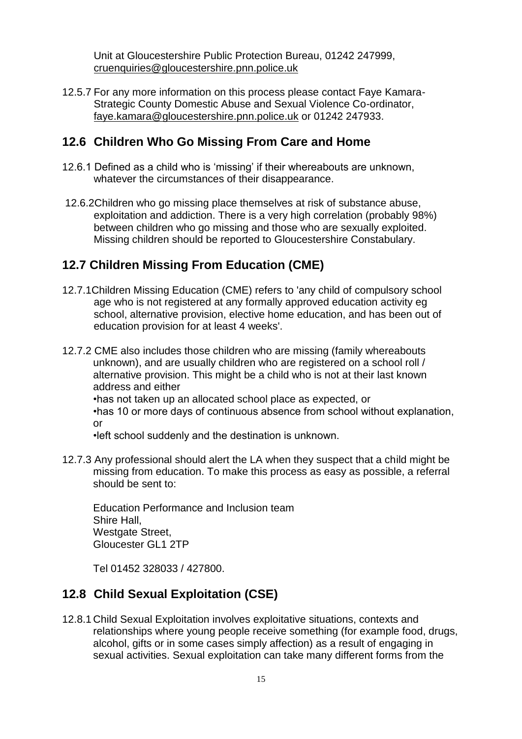Unit at Gloucestershire Public Protection Bureau, 01242 247999, [cruenquiries@gloucestershire.pnn.police.uk](mailto:cruenquiries@gloucestershire.pnn.police.uk)

12.5.7 For any more information on this process please contact Faye Kamara-Strategic County Domestic Abuse and Sexual Violence Co-ordinator, [faye.kamara@gloucestershire.pnn.police.uk](mailto:faye.kamara@gloucestershire.pnn.police.uk) or 01242 247933.

#### **12.6 Children Who Go Missing From Care and Home**

- 12.6.1 Defined as a child who is 'missing' if their whereabouts are unknown, whatever the circumstances of their disappearance.
- 12.6.2Children who go missing place themselves at risk of substance abuse, exploitation and addiction. There is a very high correlation (probably 98%) between children who go missing and those who are sexually exploited. Missing children should be reported to Gloucestershire Constabulary.

#### **12.7 Children Missing From Education (CME)**

- 12.7.1Children Missing Education (CME) refers to 'any child of compulsory school age who is not registered at any formally approved education activity eg school, alternative provision, elective home education, and has been out of education provision for at least 4 weeks'.
- 12.7.2 CME also includes those children who are missing (family whereabouts unknown), and are usually children who are registered on a school roll / alternative provision. This might be a child who is not at their last known address and either
	- •has not taken up an allocated school place as expected, or

•has 10 or more days of continuous absence from school without explanation, or

•left school suddenly and the destination is unknown.

12.7.3 Any professional should alert the LA when they suspect that a child might be missing from education. To make this process as easy as possible, a referral should be sent to:

Education Performance and Inclusion team Shire Hall, Westgate Street, Gloucester GL1 2TP

Tel 01452 328033 / 427800.

# **12.8 Child Sexual Exploitation (CSE)**

12.8.1 Child Sexual Exploitation involves exploitative situations, contexts and relationships where young people receive something (for example food, drugs, alcohol, gifts or in some cases simply affection) as a result of engaging in sexual activities. Sexual exploitation can take many different forms from the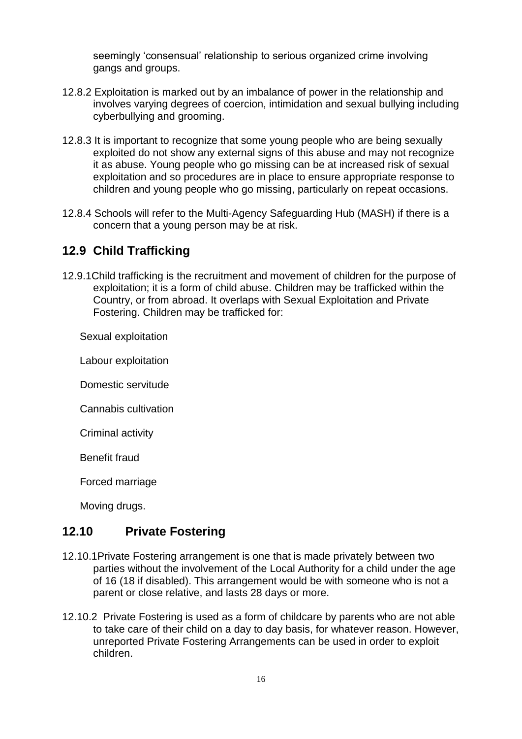seemingly 'consensual' relationship to serious organized crime involving gangs and groups.

- 12.8.2 Exploitation is marked out by an imbalance of power in the relationship and involves varying degrees of coercion, intimidation and sexual bullying including cyberbullying and grooming.
- 12.8.3 It is important to recognize that some young people who are being sexually exploited do not show any external signs of this abuse and may not recognize it as abuse. Young people who go missing can be at increased risk of sexual exploitation and so procedures are in place to ensure appropriate response to children and young people who go missing, particularly on repeat occasions.
- 12.8.4 Schools will refer to the Multi-Agency Safeguarding Hub (MASH) if there is a concern that a young person may be at risk.

# **12.9 Child Trafficking**

12.9.1Child trafficking is the recruitment and movement of children for the purpose of exploitation; it is a form of child abuse. Children may be trafficked within the Country, or from abroad. It overlaps with Sexual Exploitation and Private Fostering. Children may be trafficked for:

Sexual exploitation

Labour exploitation

Domestic servitude

Cannabis cultivation

Criminal activity

Benefit fraud

Forced marriage

Moving drugs.

# **12.10 Private Fostering**

- 12.10.1Private Fostering arrangement is one that is made privately between two parties without the involvement of the Local Authority for a child under the age of 16 (18 if disabled). This arrangement would be with someone who is not a parent or close relative, and lasts 28 days or more.
- 12.10.2 Private Fostering is used as a form of childcare by parents who are not able to take care of their child on a day to day basis, for whatever reason. However, unreported Private Fostering Arrangements can be used in order to exploit children.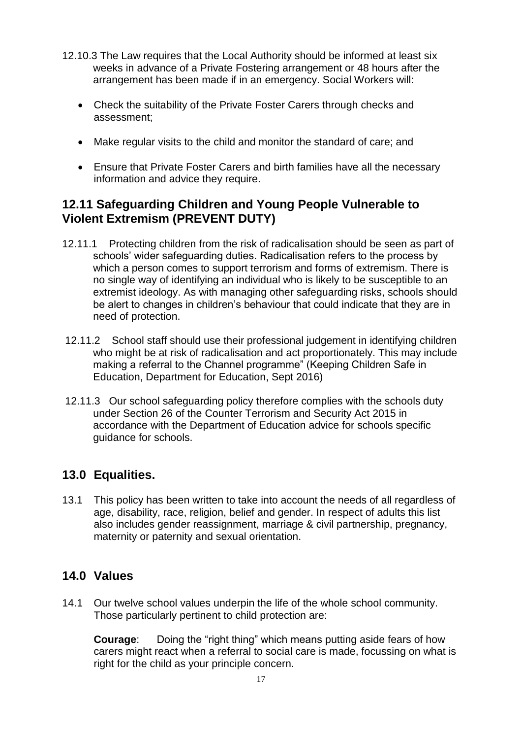- 12.10.3 The Law requires that the Local Authority should be informed at least six weeks in advance of a Private Fostering arrangement or 48 hours after the arrangement has been made if in an emergency. Social Workers will:
	- Check the suitability of the Private Foster Carers through checks and assessment;
	- Make regular visits to the child and monitor the standard of care; and
	- Ensure that Private Foster Carers and birth families have all the necessary information and advice they require.

# **12.11 Safeguarding Children and Young People Vulnerable to Violent Extremism (PREVENT DUTY)**

- 12.11.1 Protecting children from the risk of radicalisation should be seen as part of schools' wider safeguarding duties. Radicalisation refers to the process by which a person comes to support terrorism and forms of extremism. There is no single way of identifying an individual who is likely to be susceptible to an extremist ideology. As with managing other safeguarding risks, schools should be alert to changes in children's behaviour that could indicate that they are in need of protection.
- 12.11.2 School staff should use their professional judgement in identifying children who might be at risk of radicalisation and act proportionately. This may include making a referral to the Channel programme" (Keeping Children Safe in Education, Department for Education, Sept 2016)
- 12.11.3 Our school safeguarding policy therefore complies with the schools duty under Section 26 of the Counter Terrorism and Security Act 2015 in accordance with the Department of Education advice for schools specific guidance for schools.

# **13.0 Equalities.**

13.1 This policy has been written to take into account the needs of all regardless of age, disability, race, religion, belief and gender. In respect of adults this list also includes gender reassignment, marriage & civil partnership, pregnancy, maternity or paternity and sexual orientation.

# **14.0 Values**

14.1 Our twelve school values underpin the life of the whole school community. Those particularly pertinent to child protection are:

**Courage:** Doing the "right thing" which means putting aside fears of how carers might react when a referral to social care is made, focussing on what is right for the child as your principle concern.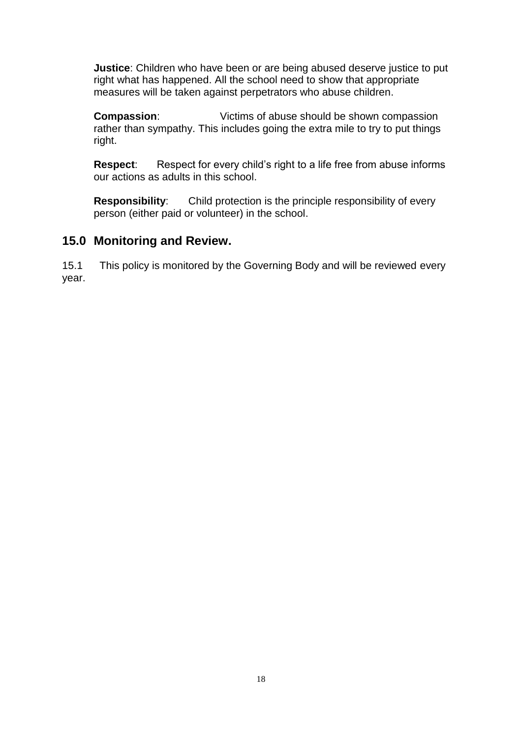**Justice**: Children who have been or are being abused deserve justice to put right what has happened. All the school need to show that appropriate measures will be taken against perpetrators who abuse children.

**Compassion:** Victims of abuse should be shown compassion rather than sympathy. This includes going the extra mile to try to put things right.

**Respect:** Respect for every child's right to a life free from abuse informs our actions as adults in this school.

**Responsibility**: Child protection is the principle responsibility of every person (either paid or volunteer) in the school.

#### **15.0 Monitoring and Review.**

15.1 This policy is monitored by the Governing Body and will be reviewed every year.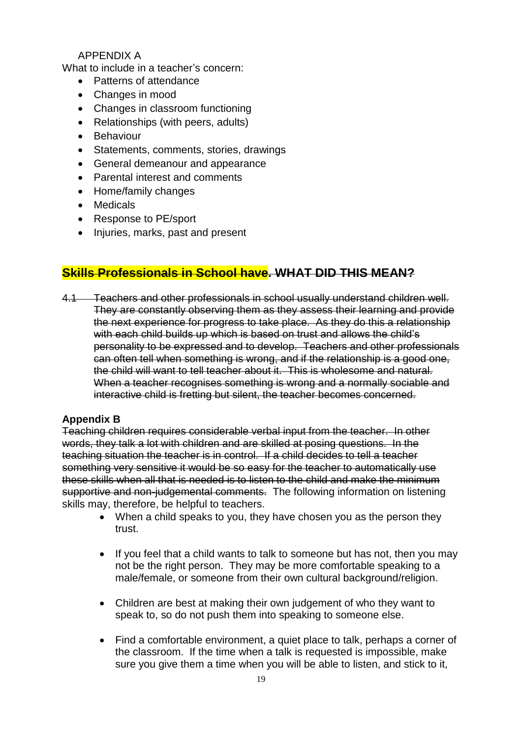#### APPENDIX A

What to include in a teacher's concern:

- Patterns of attendance
- Changes in mood
- Changes in classroom functioning
- Relationships (with peers, adults)
- **•** Behaviour
- Statements, comments, stories, drawings
- General demeanour and appearance
- Parental interest and comments
- Home/family changes
- Medicals
- Response to PE/sport
- Injuries, marks, past and present

# **Skills Professionals in School have. WHAT DID THIS MEAN?**

4.1 Teachers and other professionals in school usually understand children well. They are constantly observing them as they assess their learning and provide the next experience for progress to take place. As they do this a relationship with each child builds up which is based on trust and allows the child's personality to be expressed and to develop. Teachers and other professionals can often tell when something is wrong, and if the relationship is a good one, the child will want to tell teacher about it. This is wholesome and natural. When a teacher recognises something is wrong and a normally sociable and interactive child is fretting but silent, the teacher becomes concerned.

#### **Appendix B**

Teaching children requires considerable verbal input from the teacher. In other words, they talk a lot with children and are skilled at posing questions. In the teaching situation the teacher is in control. If a child decides to tell a teacher something very sensitive it would be so easy for the teacher to automatically use these skills when all that is needed is to listen to the child and make the minimum supportive and non-judgemental comments. The following information on listening skills may, therefore, be helpful to teachers.

- When a child speaks to you, they have chosen you as the person they trust.
- If you feel that a child wants to talk to someone but has not, then you may not be the right person. They may be more comfortable speaking to a male/female, or someone from their own cultural background/religion.
- Children are best at making their own judgement of who they want to speak to, so do not push them into speaking to someone else.
- Find a comfortable environment, a quiet place to talk, perhaps a corner of the classroom. If the time when a talk is requested is impossible, make sure you give them a time when you will be able to listen, and stick to it,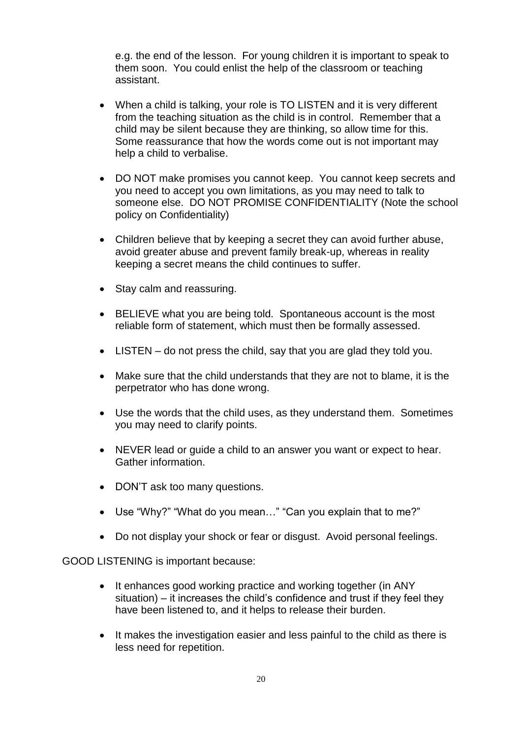e.g. the end of the lesson. For young children it is important to speak to them soon. You could enlist the help of the classroom or teaching assistant.

- When a child is talking, your role is TO LISTEN and it is very different from the teaching situation as the child is in control. Remember that a child may be silent because they are thinking, so allow time for this. Some reassurance that how the words come out is not important may help a child to verbalise.
- DO NOT make promises you cannot keep. You cannot keep secrets and you need to accept you own limitations, as you may need to talk to someone else. DO NOT PROMISE CONFIDENTIALITY (Note the school policy on Confidentiality)
- Children believe that by keeping a secret they can avoid further abuse, avoid greater abuse and prevent family break-up, whereas in reality keeping a secret means the child continues to suffer.
- Stay calm and reassuring.
- BELIEVE what you are being told. Spontaneous account is the most reliable form of statement, which must then be formally assessed.
- LISTEN do not press the child, say that you are glad they told you.
- Make sure that the child understands that they are not to blame, it is the perpetrator who has done wrong.
- Use the words that the child uses, as they understand them. Sometimes you may need to clarify points.
- NEVER lead or guide a child to an answer you want or expect to hear. Gather information.
- DON'T ask too many questions.
- Use "Why?" "What do you mean…" "Can you explain that to me?"
- Do not display your shock or fear or disgust. Avoid personal feelings.

GOOD LISTENING is important because:

- It enhances good working practice and working together (in ANY situation) – it increases the child's confidence and trust if they feel they have been listened to, and it helps to release their burden.
- It makes the investigation easier and less painful to the child as there is less need for repetition.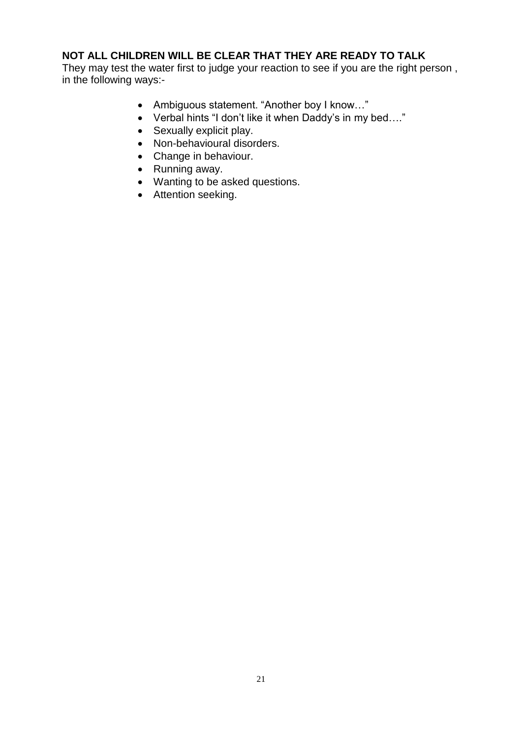#### **NOT ALL CHILDREN WILL BE CLEAR THAT THEY ARE READY TO TALK**

They may test the water first to judge your reaction to see if you are the right person , in the following ways:-

- Ambiguous statement. "Another boy I know…"
- Verbal hints "I don't like it when Daddy's in my bed…."
- Sexually explicit play.
- Non-behavioural disorders.
- Change in behaviour.
- Running away.
- Wanting to be asked questions.
- Attention seeking.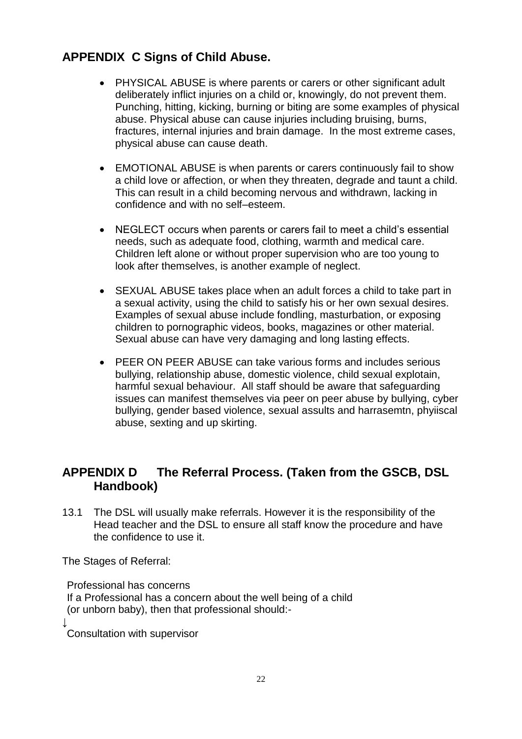# **APPENDIX C Signs of Child Abuse.**

- PHYSICAL ABUSE is where parents or carers or other significant adult deliberately inflict injuries on a child or, knowingly, do not prevent them. Punching, hitting, kicking, burning or biting are some examples of physical abuse. Physical abuse can cause injuries including bruising, burns, fractures, internal injuries and brain damage. In the most extreme cases, physical abuse can cause death.
- EMOTIONAL ABUSE is when parents or carers continuously fail to show a child love or affection, or when they threaten, degrade and taunt a child. This can result in a child becoming nervous and withdrawn, lacking in confidence and with no self–esteem.
- NEGLECT occurs when parents or carers fail to meet a child's essential needs, such as adequate food, clothing, warmth and medical care. Children left alone or without proper supervision who are too young to look after themselves, is another example of neglect.
- SEXUAL ABUSE takes place when an adult forces a child to take part in a sexual activity, using the child to satisfy his or her own sexual desires. Examples of sexual abuse include fondling, masturbation, or exposing children to pornographic videos, books, magazines or other material. Sexual abuse can have very damaging and long lasting effects.
- PEER ON PEER ABUSE can take various forms and includes serious bullying, relationship abuse, domestic violence, child sexual explotain, harmful sexual behaviour. All staff should be aware that safeguarding issues can manifest themselves via peer on peer abuse by bullying, cyber bullying, gender based violence, sexual assults and harrasemtn, phyiiscal abuse, sexting and up skirting.

# **APPENDIX D The Referral Process. (Taken from the GSCB, DSL Handbook)**

13.1 The DSL will usually make referrals. However it is the responsibility of the Head teacher and the DSL to ensure all staff know the procedure and have the confidence to use it.

The Stages of Referral:

Professional has concerns If a Professional has a concern about the well being of a child (or unborn baby), then that professional should:- ↓

Consultation with supervisor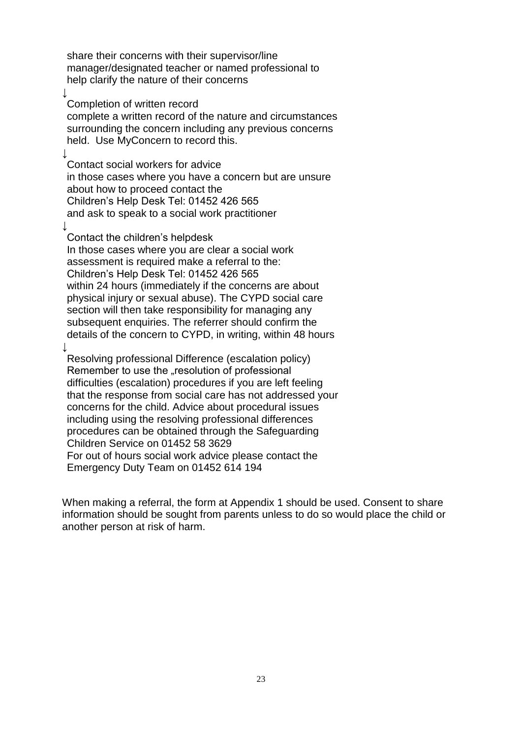share their concerns with their supervisor/line manager/designated teacher or named professional to help clarify the nature of their concerns

Completion of written record

↓

 $\downarrow$ 

↓

complete a written record of the nature and circumstances surrounding the concern including any previous concerns held. Use MyConcern to record this.

Contact social workers for advice in those cases where you have a concern but are unsure about how to proceed contact the Children's Help Desk Tel: 01452 426 565 and ask to speak to a social work practitioner

Contact the children's helpdesk In those cases where you are clear a social work assessment is required make a referral to the: Children's Help Desk Tel: 01452 426 565 within 24 hours (immediately if the concerns are about physical injury or sexual abuse). The CYPD social care section will then take responsibility for managing any subsequent enquiries. The referrer should confirm the details of the concern to CYPD, in writing, within 48 hours ↓

Resolving professional Difference (escalation policy) Remember to use the "resolution of professional difficulties (escalation) procedures if you are left feeling that the response from social care has not addressed your concerns for the child. Advice about procedural issues including using the resolving professional differences procedures can be obtained through the Safeguarding Children Service on 01452 58 3629 For out of hours social work advice please contact the Emergency Duty Team on 01452 614 194

When making a referral, the form at Appendix 1 should be used. Consent to share information should be sought from parents unless to do so would place the child or another person at risk of harm.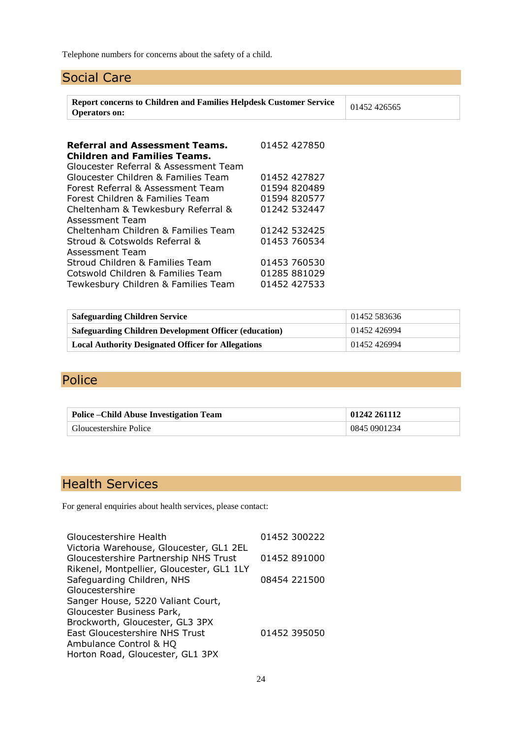Telephone numbers for concerns about the safety of a child.

# Social Care

| <b>Report concerns to Children and Families Helpdesk Customer Service</b><br><b>Operators on:</b> |              |  |  |
|---------------------------------------------------------------------------------------------------|--------------|--|--|
|                                                                                                   |              |  |  |
|                                                                                                   |              |  |  |
|                                                                                                   |              |  |  |
| 01452 427827                                                                                      |              |  |  |
| 01594 820489                                                                                      |              |  |  |
| 01594 820577                                                                                      |              |  |  |
| 01242 532447                                                                                      |              |  |  |
|                                                                                                   |              |  |  |
| 01242 532425                                                                                      |              |  |  |
| 01453 760534                                                                                      |              |  |  |
|                                                                                                   |              |  |  |
| 01453 760530                                                                                      |              |  |  |
| 01285 881029                                                                                      |              |  |  |
| 01452 427533                                                                                      |              |  |  |
|                                                                                                   |              |  |  |
|                                                                                                   | 01452 427850 |  |  |

| <b>Safeguarding Children Service</b>                         | 01452 583636 |
|--------------------------------------------------------------|--------------|
| <b>Safeguarding Children Development Officer (education)</b> | 01452 426994 |
| <b>Local Authority Designated Officer for Allegations</b>    | 01452426994  |

# Police

| <b>Police – Child Abuse Investigation Team</b> | 01242 261112 |
|------------------------------------------------|--------------|
| Gloucestershire Police                         | 0845 0901234 |

# Health Services

For general enquiries about health services, please contact:

| Gloucestershire Health                    | 01452 300222 |
|-------------------------------------------|--------------|
| Victoria Warehouse, Gloucester, GL1 2EL   |              |
| Gloucestershire Partnership NHS Trust     | 01452 891000 |
| Rikenel, Montpellier, Gloucester, GL1 1LY |              |
| Safeguarding Children, NHS                | 08454 221500 |
| Gloucestershire                           |              |
| Sanger House, 5220 Valiant Court,         |              |
| Gloucester Business Park,                 |              |
| Brockworth, Gloucester, GL3 3PX           |              |
| East Gloucestershire NHS Trust            | 01452 395050 |
| Ambulance Control & HQ                    |              |
| Horton Road, Gloucester, GL1 3PX          |              |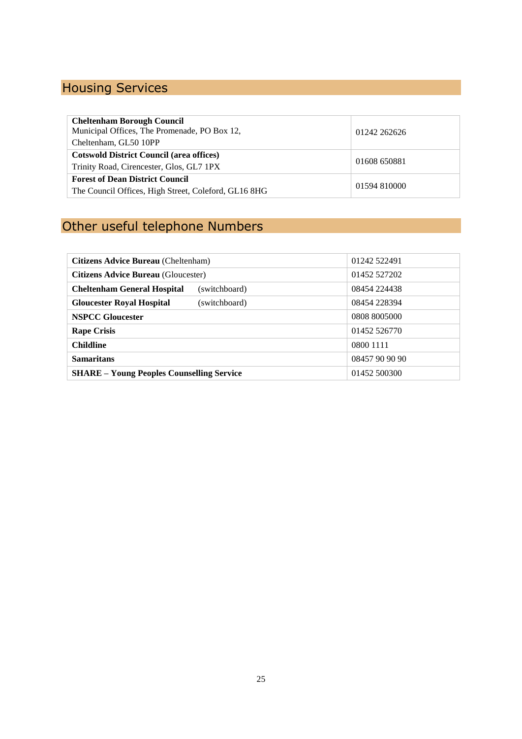# Housing Services

| <b>Cheltenham Borough Council</b><br>Municipal Offices, The Promenade, PO Box 12,<br>Cheltenham, GL50 10PP  | 01242 262626 |  |
|-------------------------------------------------------------------------------------------------------------|--------------|--|
| <b>Cotswold District Council (area offices)</b><br>01608 650881<br>Trinity Road, Cirencester, Glos, GL7 1PX |              |  |
| <b>Forest of Dean District Council</b><br>The Council Offices, High Street, Coleford, GL16 8HG              | 01594 810000 |  |

# Other useful telephone Numbers

| Citizens Advice Bureau (Cheltenham)                 | 01242 522491   |
|-----------------------------------------------------|----------------|
| <b>Citizens Advice Bureau</b> (Gloucester)          | 01452 527202   |
| <b>Cheltenham General Hospital</b><br>(switchboard) | 08454 224438   |
| <b>Gloucester Royal Hospital</b><br>(switchboard)   | 08454 228394   |
| <b>NSPCC Gloucester</b>                             | 0808 8005000   |
| <b>Rape Crisis</b>                                  | 01452 526770   |
| <b>Childline</b>                                    | 0800 1111      |
| <b>Samaritans</b>                                   | 08457 90 90 90 |
| <b>SHARE – Young Peoples Counselling Service</b>    | 01452 500300   |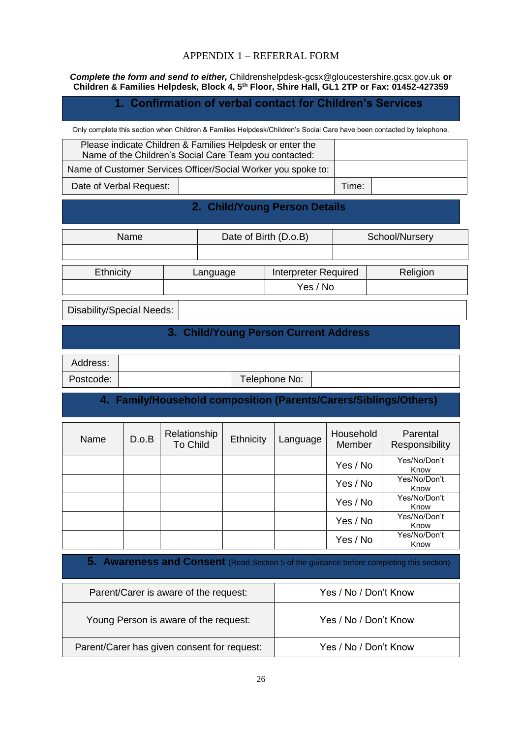#### APPENDIX 1 – REFERRAL FORM

*Complete the form and send to either,* [Childrenshelpdesk-gcsx@gloucestershire.gcsx.gov.uk](mailto:Childrenshelpdesk-gcsx@gloucestershire.gcsx.gov.uk) **or Children & Families Helpdesk, Block 4, 5th Floor, Shire Hall, GL1 2TP or Fax: 01452-427359**

#### **1. Confirmation of verbal contact for Children's Services**

Only complete this section when Children & Families Helpdesk/Children's Social Care have been contacted by telephone.

| Please indicate Children & Families Helpdesk or enter the<br>Name of the Children's Social Care Team you contacted: |  |       |  |
|---------------------------------------------------------------------------------------------------------------------|--|-------|--|
| Name of Customer Services Officer/Social Worker you spoke to:                                                       |  |       |  |
| Date of Verbal Request:                                                                                             |  | Time: |  |

#### **2. Child/Young Person Details**

| <b>Name</b> |          | Date of Birth (D.o.B) |                             | School/Nursery |          |
|-------------|----------|-----------------------|-----------------------------|----------------|----------|
|             |          |                       |                             |                |          |
| Ethnicity   | Language |                       | <b>Interpreter Required</b> |                | Religion |
|             |          |                       | Yes / No                    |                |          |

Disability/Special Needs:

#### **3. Child/Young Person Current Address**

| Address:  |               |  |
|-----------|---------------|--|
| Postcode: | Telephone No: |  |
|           |               |  |

#### **4. Family/Household composition (Parents/Carers/Siblings/Others)**

| Name | D.o.B | Relationship<br><b>To Child</b> | Ethnicity | Language | Household<br><b>Member</b> | Parental<br>Responsibility |
|------|-------|---------------------------------|-----------|----------|----------------------------|----------------------------|
|      |       |                                 |           |          | Yes / No                   | Yes/No/Don't<br>Know       |
|      |       |                                 |           |          | Yes / No                   | Yes/No/Don't<br>Know       |
|      |       |                                 |           |          | Yes / No                   | Yes/No/Don't<br>Know       |
|      |       |                                 |           |          | Yes / No                   | Yes/No/Don't<br>Know       |
|      |       |                                 |           |          | Yes / No                   | Yes/No/Don't<br>Know       |

**5. Awareness and Consent** (Read Section 5 of the guidance before completing this section)

| Parent/Carer is aware of the request:       | Yes / No / Don't Know |
|---------------------------------------------|-----------------------|
| Young Person is aware of the request:       | Yes / No / Don't Know |
| Parent/Carer has given consent for request: | Yes / No / Don't Know |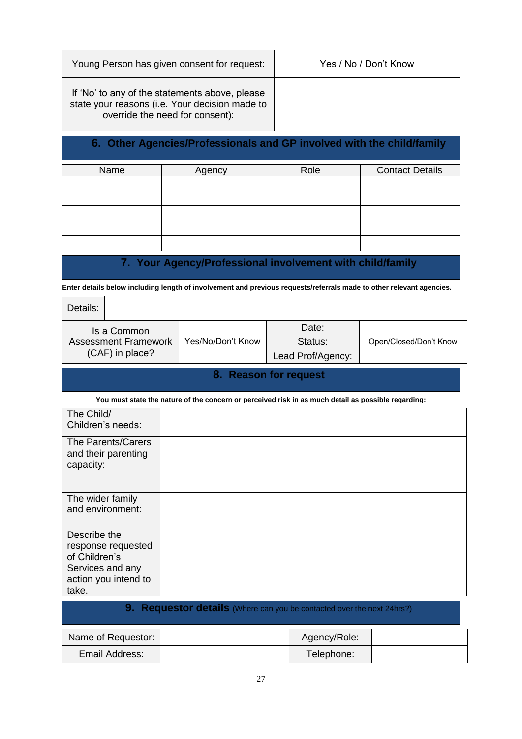| Young Person has given consent for request:                                                                                         | Yes / No / Don't Know |
|-------------------------------------------------------------------------------------------------------------------------------------|-----------------------|
| If 'No' to any of the statements above, please<br>state your reasons (i.e. Your decision made to<br>override the need for consent): |                       |

# **6. Other Agencies/Professionals and GP involved with the child/family**

| Name | Agency | Role | <b>Contact Details</b> |  |  |
|------|--------|------|------------------------|--|--|
|      |        |      |                        |  |  |
|      |        |      |                        |  |  |
|      |        |      |                        |  |  |
|      |        |      |                        |  |  |
|      |        |      |                        |  |  |
|      |        |      |                        |  |  |
|      |        |      |                        |  |  |
|      |        |      |                        |  |  |
|      |        |      |                        |  |  |
|      |        |      |                        |  |  |
|      |        |      |                        |  |  |

# **7. Your Agency/Professional involvement with child/family**

**Enter details below including length of involvement and previous requests/referrals made to other relevant agencies.**

| Details:        |                             |                   |         |                        |
|-----------------|-----------------------------|-------------------|---------|------------------------|
|                 | Is a Common                 |                   | Date:   |                        |
|                 | <b>Assessment Framework</b> | Yes/No/Don't Know | Status: | Open/Closed/Don't Know |
| (CAF) in place? |                             | Lead Prof/Agency: |         |                        |

#### **8. Reason for request**

**You must state the nature of the concern or perceived risk in as much detail as possible regarding:**

| The Child/<br>Children's needs:                                                                          |                                                                        |
|----------------------------------------------------------------------------------------------------------|------------------------------------------------------------------------|
| The Parents/Carers<br>and their parenting<br>capacity:                                                   |                                                                        |
| The wider family<br>and environment:                                                                     |                                                                        |
| Describe the<br>response requested<br>of Children's<br>Services and any<br>action you intend to<br>take. |                                                                        |
|                                                                                                          | 9. Requestor details (Where can you be contacted over the next 24hrs?) |

| Name of Requestor: | Agency/Role: |  |
|--------------------|--------------|--|
| Email Address:     | Telephone:   |  |